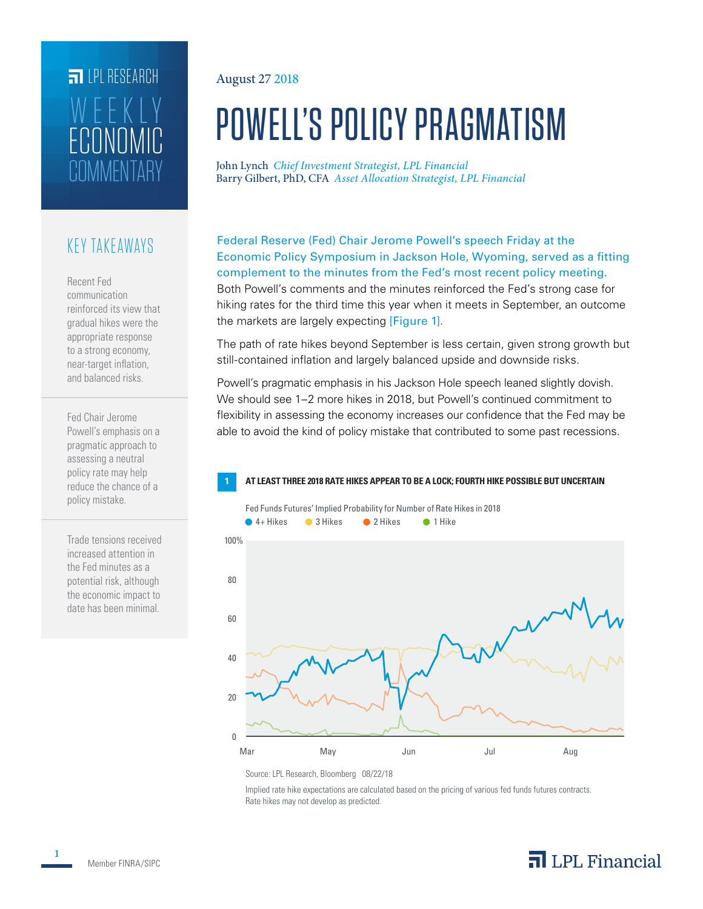# **FILLE** LPL RESEARCH COMMENTARY ECONOMIC WEEKLY

### KEY TAKEAWAYS

Recent Fed communication reinforced its view that gradual hikes were the appropriate response to a strong economy, near-target inflation, and balanced risks.

Fed Chair Jerome Powell's emphasis on a pragmatic approach to assessing a neutral policy rate may help reduce the chance of a policy mistake.

Trade tensions received increased attention in the Fed minutes as a potential risk, although the economic impact to date has been minimal.

#### August 27 2018

# POWELL'S POLICY PRAGMATISM

John Lynch *Chief Investment Strategist, LPL Financial* Barry Gilbert, PhD, CFA *Asset Allocation Strategist, LPL Financial*

Federal Reserve (Fed) Chair Jerome Powell's speech Friday at the Economic Policy Symposium in Jackson Hole, Wyoming, served as a fitting complement to the minutes from the Fed's most recent policy meeting. Both Powell's comments and the minutes reinforced the Fed's strong case for hiking rates for the third time this year when it meets in September, an outcome the markets are largely expecting [Figure 1].

The path of rate hikes beyond September is less certain, given strong growth but still-contained inflation and largely balanced upside and downside risks.

Powell's pragmatic emphasis in his Jackson Hole speech leaned slightly dovish. We should see 1–2 more hikes in 2018, but Powell's continued commitment to flexibility in assessing the economy increases our confidence that the Fed may be able to avoid the kind of policy mistake that contributed to some past recessions.

#### **1 AT LEAST THREE 2018 RATE HIKES APPEAR TO BE A LOCK; FOURTH HIKE POSSIBLE BUT UNCERTAIN**



Source: LPL Research, Bloomberg 08/22/18

Implied rate hike expectations are calculated based on the pricing of various fed funds futures contracts. Rate hikes may not develop as predicted.

**1**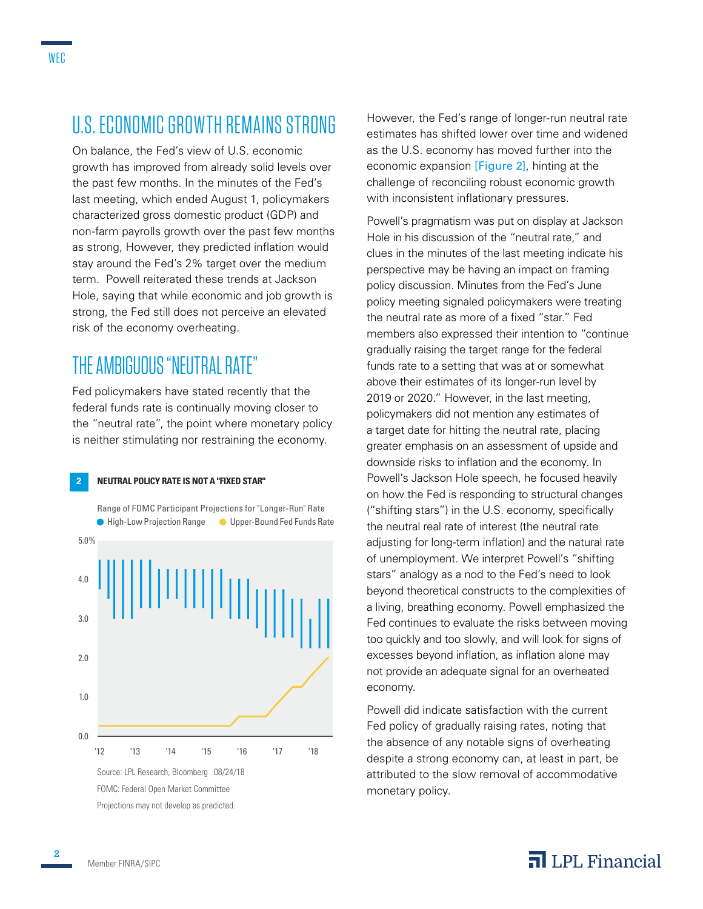On balance, the Fed's view of U.S. economic growth has improved from already solid levels over the past few months. In the minutes of the Fed's last meeting, which ended August 1, policymakers characterized gross domestic product (GDP) and non-farm payrolls growth over the past few months as strong, However, they predicted inflation would stay around the Fed's 2% target over the medium term. Powell reiterated these trends at Jackson Hole, saying that while economic and job growth is strong, the Fed still does not perceive an elevated risk of the economy overheating.

### THE AMBIGUOUS "NEUTRAL RATE"

Fed policymakers have stated recently that the federal funds rate is continually moving closer to the "neutral rate", the point where monetary policy is neither stimulating nor restraining the economy.

#### **2 NEUTRAL POLICY RATE IS NOT A "FIXED STAR"**



However, the Fed's range of longer-run neutral rate estimates has shifted lower over time and widened as the U.S. economy has moved further into the economic expansion [Figure 2], hinting at the challenge of reconciling robust economic growth with inconsistent inflationary pressures.

Powell's pragmatism was put on display at Jackson Hole in his discussion of the "neutral rate," and clues in the minutes of the last meeting indicate his perspective may be having an impact on framing policy discussion. Minutes from the Fed's June policy meeting signaled policymakers were treating the neutral rate as more of a fixed "star." Fed members also expressed their intention to "continue gradually raising the target range for the federal funds rate to a setting that was at or somewhat above their estimates of its longer-run level by 2019 or 2020." However, in the last meeting, policymakers did not mention any estimates of a target date for hitting the neutral rate, placing greater emphasis on an assessment of upside and downside risks to inflation and the economy. In Powell's Jackson Hole speech, he focused heavily on how the Fed is responding to structural changes ("shifting stars") in the U.S. economy, specifically the neutral real rate of interest (the neutral rate adjusting for long-term inflation) and the natural rate of unemployment. We interpret Powell's "shifting stars" analogy as a nod to the Fed's need to look beyond theoretical constructs to the complexities of a living, breathing economy. Powell emphasized the Fed continues to evaluate the risks between moving too quickly and too slowly, and will look for signs of excesses beyond inflation, as inflation alone may not provide an adequate signal for an overheated economy.

Powell did indicate satisfaction with the current Fed policy of gradually raising rates, noting that the absence of any notable signs of overheating despite a strong economy can, at least in part, be attributed to the slow removal of accommodative monetary policy.

#### WEC

**2**